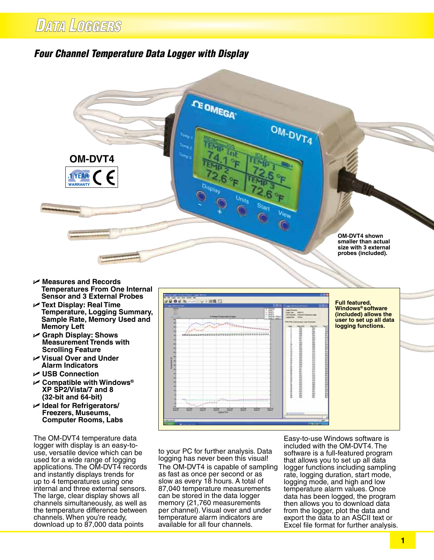## *Four Channel Temperature Data Logger with Display*



- U **Measures and Records Temperatures From One Internal Sensor and 3 External Probes**
- U **Text Display: Real Time Temperature, Logging Summary, Sample Rate, Memory Used and Memory Left**
- U **Graph Display: Shows Measurement Trends with Scrolling Feature**
- U **Visual Over and Under Alarm Indicators**
- U **USB Connection**
- U **Compatible with Windows® XP SP2/Vista/7 and 8 (32-bit and 64-bit)**
- U **Ideal for Refrigerators/ Freezers, Museums, Computer Rooms, Labs**

The OM-DVT4 temperature data logger with display is an easy-touse, versatile device which can be used for a wide range of logging applications. The OM-DVT4 records and instantly displays trends for up to 4 temperatures using one internal and three external sensors. The large, clear display shows all channels simultaneously, as well as the temperature difference between channels. When you're ready, download up to 87,000 data points



to your PC for further analysis. Data logging has never been this visual! The OM-DVT4 is capable of sampling as fast as once per second or as slow as every 18 hours. A total of 87,040 temperature measurements can be stored in the data logger memory (21,760 measurements per channel). Visual over and under temperature alarm indicators are available for all four channels.

Easy-to-use Windows software is included with the OM-DVT4. The software is a full-featured program that allows you to set up all data logger functions including sampling rate, logging duration, start mode, logging mode, and high and low temperature alarm values. Once data has been logged, the program then allows you to download data from the logger, plot the data and export the data to an ASCII text or Excel file format for further analysis.